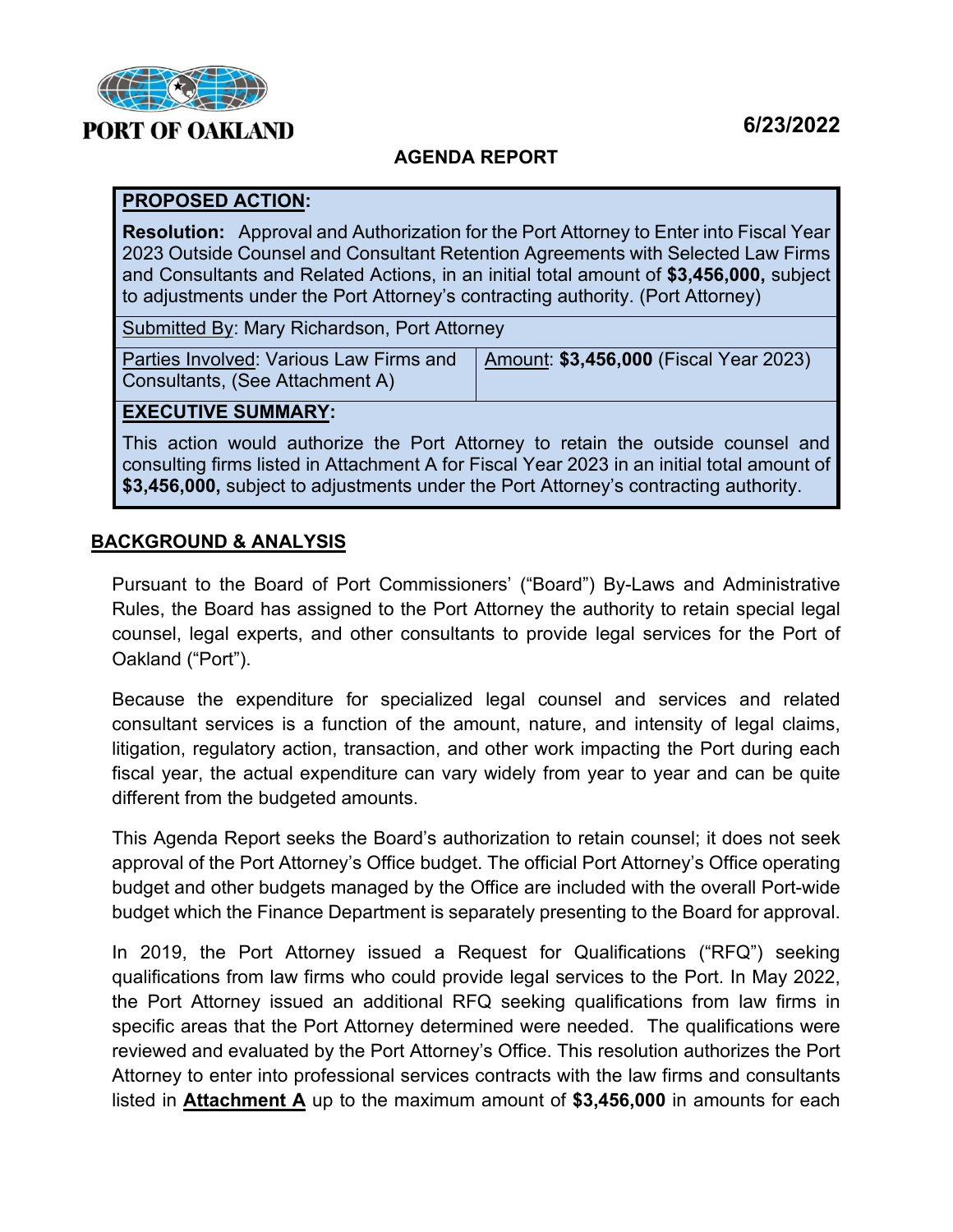

## **6/23/2022**

### **AGENDA REPORT**

#### **PROPOSED ACTION:**

**Resolution:** Approval and Authorization for the Port Attorney to Enter into Fiscal Year 2023 Outside Counsel and Consultant Retention Agreements with Selected Law Firms and Consultants and Related Actions, in an initial total amount of **\$3,456,000,** subject to adjustments under the Port Attorney's contracting authority. (Port Attorney)

Submitted By: Mary Richardson, Port Attorney

Parties Involved: Various Law Firms and Consultants, (See Attachment A) Amount: **\$3,456,000** (Fiscal Year 2023)

#### **EXECUTIVE SUMMARY:**

This action would authorize the Port Attorney to retain the outside counsel and consulting firms listed in Attachment A for Fiscal Year 2023 in an initial total amount of **\$3,456,000,** subject to adjustments under the Port Attorney's contracting authority.

#### **BACKGROUND & ANALYSIS**

Pursuant to the Board of Port Commissioners' ("Board") By-Laws and Administrative Rules, the Board has assigned to the Port Attorney the authority to retain special legal counsel, legal experts, and other consultants to provide legal services for the Port of Oakland ("Port").

Because the expenditure for specialized legal counsel and services and related consultant services is a function of the amount, nature, and intensity of legal claims, litigation, regulatory action, transaction, and other work impacting the Port during each fiscal year, the actual expenditure can vary widely from year to year and can be quite different from the budgeted amounts.

This Agenda Report seeks the Board's authorization to retain counsel; it does not seek approval of the Port Attorney's Office budget. The official Port Attorney's Office operating budget and other budgets managed by the Office are included with the overall Port-wide budget which the Finance Department is separately presenting to the Board for approval.

In 2019, the Port Attorney issued a Request for Qualifications ("RFQ") seeking qualifications from law firms who could provide legal services to the Port. In May 2022, the Port Attorney issued an additional RFQ seeking qualifications from law firms in specific areas that the Port Attorney determined were needed. The qualifications were reviewed and evaluated by the Port Attorney's Office. This resolution authorizes the Port Attorney to enter into professional services contracts with the law firms and consultants listed in **Attachment A** up to the maximum amount of **\$3,456,000** in amounts for each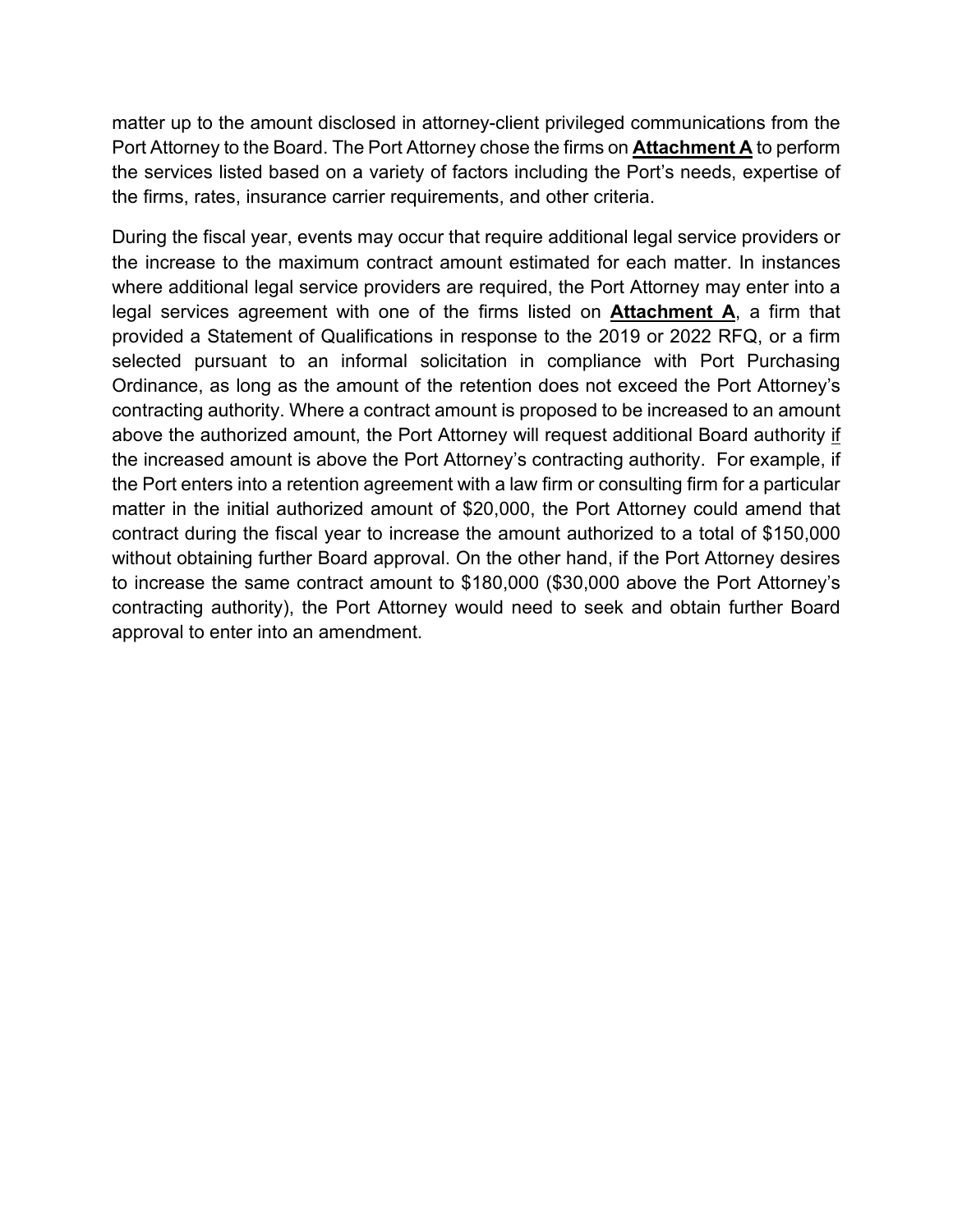matter up to the amount disclosed in attorney-client privileged communications from the Port Attorney to the Board. The Port Attorney chose the firms on **Attachment A** to perform the services listed based on a variety of factors including the Port's needs, expertise of the firms, rates, insurance carrier requirements, and other criteria.

During the fiscal year, events may occur that require additional legal service providers or the increase to the maximum contract amount estimated for each matter. In instances where additional legal service providers are required, the Port Attorney may enter into a legal services agreement with one of the firms listed on **Attachment A**, a firm that provided a Statement of Qualifications in response to the 2019 or 2022 RFQ, or a firm selected pursuant to an informal solicitation in compliance with Port Purchasing Ordinance, as long as the amount of the retention does not exceed the Port Attorney's contracting authority. Where a contract amount is proposed to be increased to an amount above the authorized amount, the Port Attorney will request additional Board authority if the increased amount is above the Port Attorney's contracting authority. For example, if the Port enters into a retention agreement with a law firm or consulting firm for a particular matter in the initial authorized amount of \$20,000, the Port Attorney could amend that contract during the fiscal year to increase the amount authorized to a total of \$150,000 without obtaining further Board approval. On the other hand, if the Port Attorney desires to increase the same contract amount to \$180,000 (\$30,000 above the Port Attorney's contracting authority), the Port Attorney would need to seek and obtain further Board approval to enter into an amendment.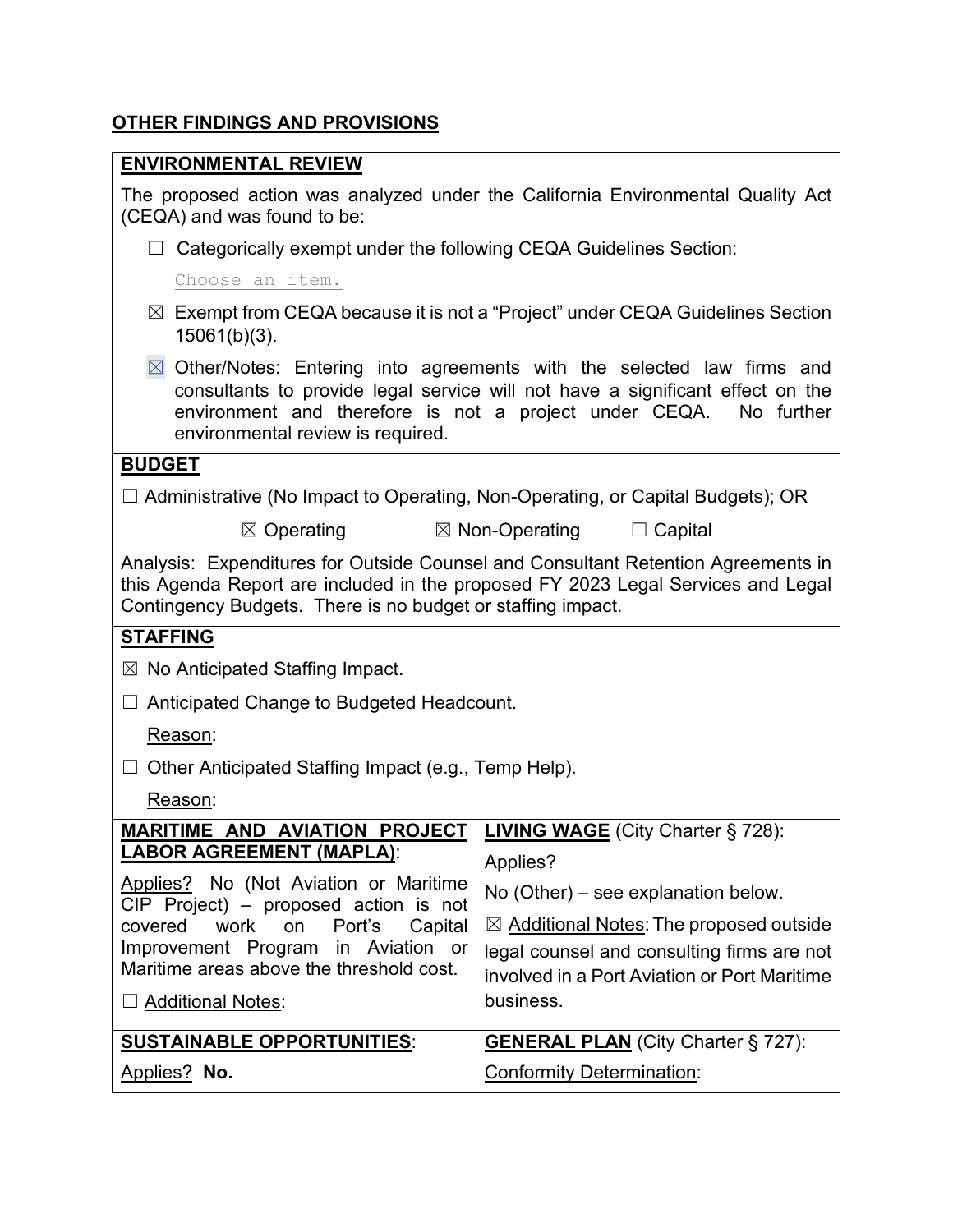# **OTHER FINDINGS AND PROVISIONS**

#### **ENVIRONMENTAL REVIEW**

The proposed action was analyzed under the California Environmental Quality Act (CEQA) and was found to be:

 $\Box$  Categorically exempt under the following CEQA Guidelines Section:

Choose an item.

- ☒ Exempt from CEQA because it is not a "Project" under CEQA Guidelines Section 15061(b)(3).
- $\boxtimes$  Other/Notes: Entering into agreements with the selected law firms and consultants to provide legal service will not have a significant effect on the environment and therefore is not a project under CEQA. No further environmental review is required.

#### **BUDGET**

☐ Administrative (No Impact to Operating, Non-Operating, or Capital Budgets); OR

**⊠** Operating **Ⅰ ⊠** Non-Operating □ Capital

Analysis: Expenditures for Outside Counsel and Consultant Retention Agreements in this Agenda Report are included in the proposed FY 2023 Legal Services and Legal Contingency Budgets. There is no budget or staffing impact.

#### **STAFFING**

 $\boxtimes$  No Anticipated Staffing Impact.

☐ Anticipated Change to Budgeted Headcount.

Reason:

 $\Box$  Other Anticipated Staffing Impact (e.g., Temp Help).

Reason:

| <b>MARITIME AND AVIATION PROJECT</b>                                             | <b>LIVING WAGE</b> (City Charter § 728):           |
|----------------------------------------------------------------------------------|----------------------------------------------------|
| <b>LABOR AGREEMENT (MAPLA):</b>                                                  | Applies?                                           |
| Applies? No (Not Aviation or Maritime<br>$CIP$ Project) – proposed action is not | No (Other) – see explanation below.                |
| covered work on Port's<br>Capital                                                | $\boxtimes$ Additional Notes: The proposed outside |
| Improvement Program in Aviation or<br>Maritime areas above the threshold cost.   | legal counsel and consulting firms are not         |
|                                                                                  | involved in a Port Aviation or Port Maritime       |
| $\Box$ Additional Notes:                                                         | business.                                          |
|                                                                                  |                                                    |
| <b>SUSTAINABLE OPPORTUNITIES:</b>                                                | <b>GENERAL PLAN</b> (City Charter § 727):          |
| Applies? No.                                                                     | <b>Conformity Determination:</b>                   |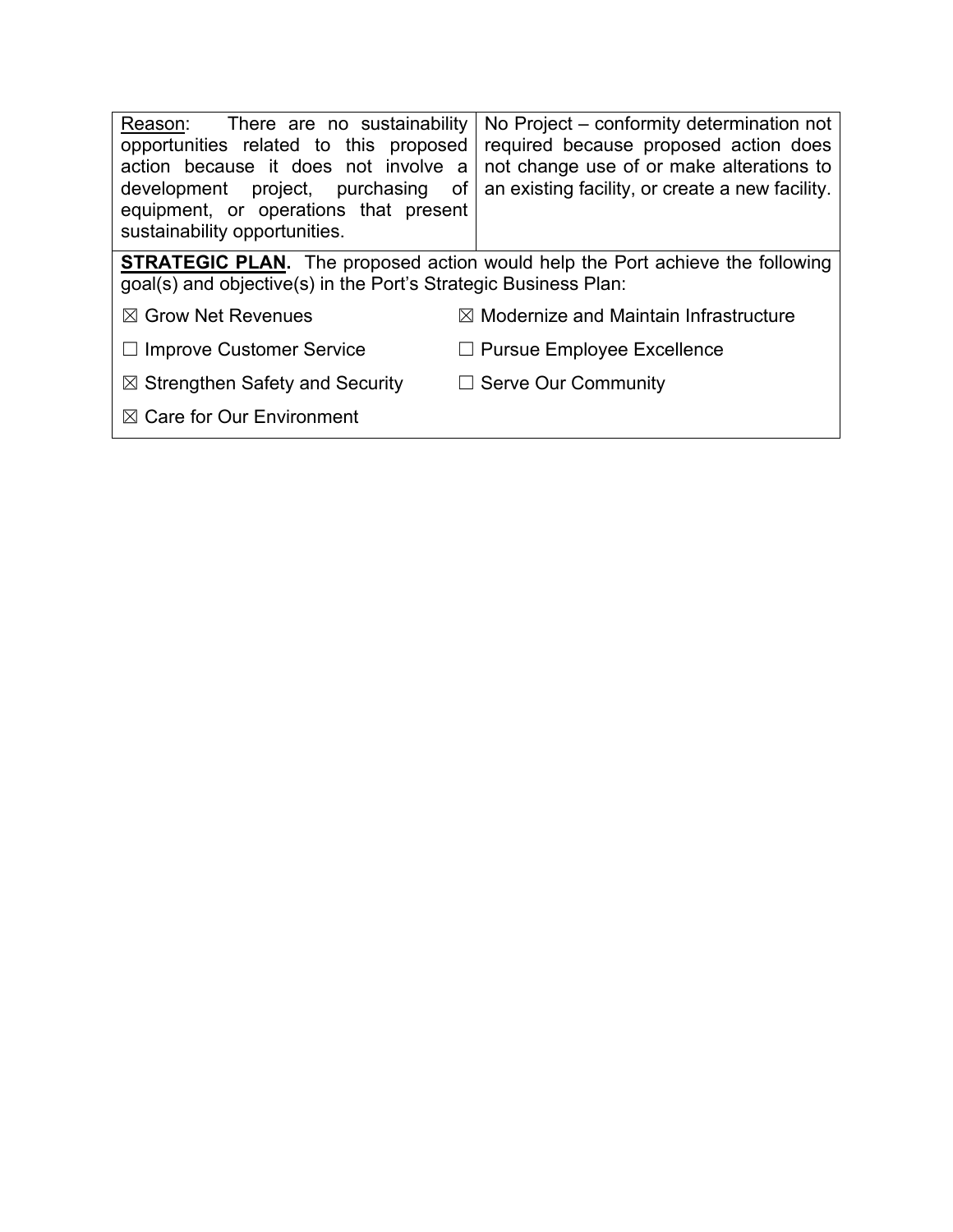| Reason: There are no sustainability<br>opportunities related to this proposed<br>action because it does not involve a<br>development project, purchasing<br>of<br>equipment, or operations that present<br>sustainability opportunities. | No Project – conformity determination not<br>required because proposed action does<br>not change use of or make alterations to<br>an existing facility, or create a new facility. |  |
|------------------------------------------------------------------------------------------------------------------------------------------------------------------------------------------------------------------------------------------|-----------------------------------------------------------------------------------------------------------------------------------------------------------------------------------|--|
| <b>STRATEGIC PLAN.</b> The proposed action would help the Port achieve the following<br>goal(s) and objective(s) in the Port's Strategic Business Plan:                                                                                  |                                                                                                                                                                                   |  |
| $\boxtimes$ Grow Net Revenues                                                                                                                                                                                                            | $\boxtimes$ Modernize and Maintain Infrastructure                                                                                                                                 |  |
| $\Box$ Improve Customer Service                                                                                                                                                                                                          | $\Box$ Pursue Employee Excellence                                                                                                                                                 |  |
| $\boxtimes$ Strengthen Safety and Security                                                                                                                                                                                               | $\Box$ Serve Our Community                                                                                                                                                        |  |
| $\boxtimes$ Care for Our Environment                                                                                                                                                                                                     |                                                                                                                                                                                   |  |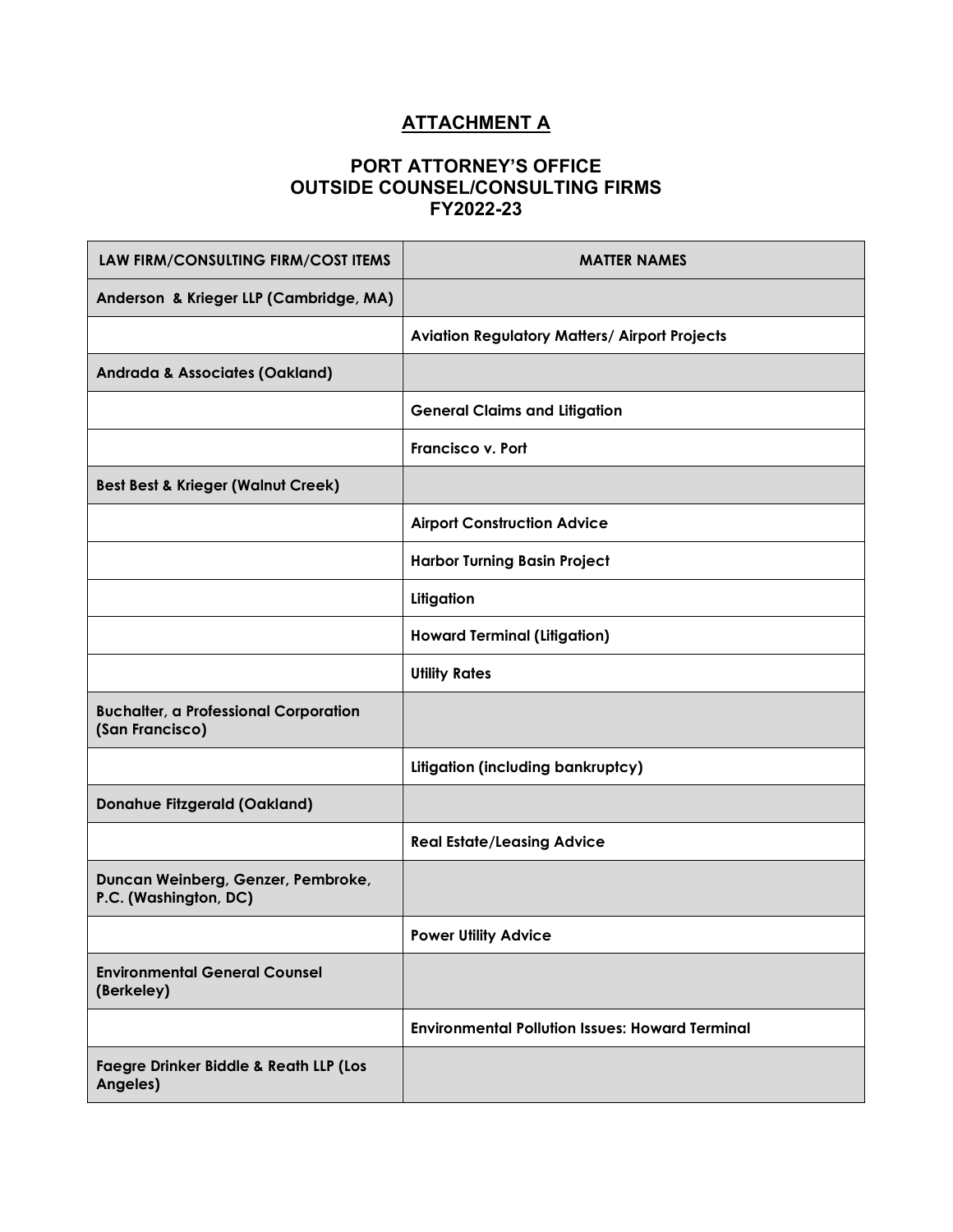# **ATTACHMENT A**

#### **PORT ATTORNEY'S OFFICE OUTSIDE COUNSEL/CONSULTING FIRMS FY2022-23**

| LAW FIRM/CONSULTING FIRM/COST ITEMS                             | <b>MATTER NAMES</b>                                    |
|-----------------------------------------------------------------|--------------------------------------------------------|
| Anderson & Krieger LLP (Cambridge, MA)                          |                                                        |
|                                                                 | <b>Aviation Regulatory Matters/ Airport Projects</b>   |
| <b>Andrada &amp; Associates (Oakland)</b>                       |                                                        |
|                                                                 | <b>General Claims and Litigation</b>                   |
|                                                                 | <b>Francisco v. Port</b>                               |
| <b>Best Best &amp; Krieger (Walnut Creek)</b>                   |                                                        |
|                                                                 | <b>Airport Construction Advice</b>                     |
|                                                                 | <b>Harbor Turning Basin Project</b>                    |
|                                                                 | Litigation                                             |
|                                                                 | <b>Howard Terminal (Litigation)</b>                    |
|                                                                 | <b>Utility Rates</b>                                   |
| <b>Buchalter, a Professional Corporation</b><br>(San Francisco) |                                                        |
|                                                                 | Litigation (including bankruptcy)                      |
| <b>Donahue Fitzgerald (Oakland)</b>                             |                                                        |
|                                                                 | <b>Real Estate/Leasing Advice</b>                      |
| Duncan Weinberg, Genzer, Pembroke,<br>P.C. (Washington, DC)     |                                                        |
|                                                                 | <b>Power Utility Advice</b>                            |
| <b>Environmental General Counsel</b><br>(Berkeley)              |                                                        |
|                                                                 | <b>Environmental Pollution Issues: Howard Terminal</b> |
| <b>Faegre Drinker Biddle &amp; Reath LLP (Los</b><br>Angeles)   |                                                        |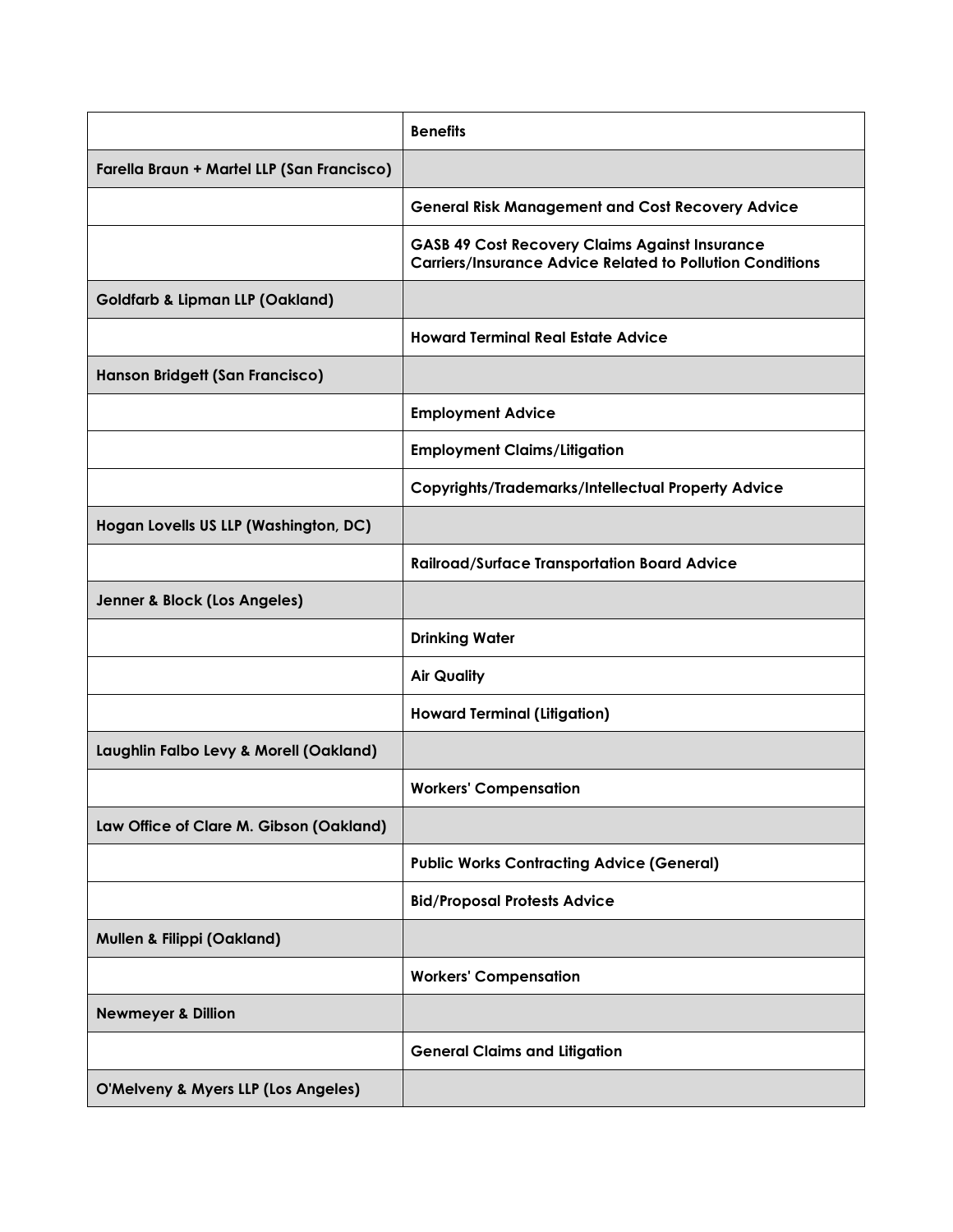|                                            | <b>Benefits</b>                                                                                                           |
|--------------------------------------------|---------------------------------------------------------------------------------------------------------------------------|
| Farella Braun + Martel LLP (San Francisco) |                                                                                                                           |
|                                            | <b>General Risk Management and Cost Recovery Advice</b>                                                                   |
|                                            | <b>GASB 49 Cost Recovery Claims Against Insurance</b><br><b>Carriers/Insurance Advice Related to Pollution Conditions</b> |
| <b>Goldfarb &amp; Lipman LLP (Oakland)</b> |                                                                                                                           |
|                                            | <b>Howard Terminal Real Estate Advice</b>                                                                                 |
| Hanson Bridgett (San Francisco)            |                                                                                                                           |
|                                            | <b>Employment Advice</b>                                                                                                  |
|                                            | <b>Employment Claims/Litigation</b>                                                                                       |
|                                            | <b>Copyrights/Trademarks/Intellectual Property Advice</b>                                                                 |
| Hogan Lovells US LLP (Washington, DC)      |                                                                                                                           |
|                                            | <b>Railroad/Surface Transportation Board Advice</b>                                                                       |
| Jenner & Block (Los Angeles)               |                                                                                                                           |
|                                            | <b>Drinking Water</b>                                                                                                     |
|                                            | <b>Air Quality</b>                                                                                                        |
|                                            | <b>Howard Terminal (Litigation)</b>                                                                                       |
| Laughlin Falbo Levy & Morell (Oakland)     |                                                                                                                           |
|                                            | <b>Workers' Compensation</b>                                                                                              |
| Law Office of Clare M. Gibson (Oakland)    |                                                                                                                           |
|                                            | <b>Public Works Contracting Advice (General)</b>                                                                          |
|                                            | <b>Bid/Proposal Protests Advice</b>                                                                                       |
| <b>Mullen &amp; Filippi (Oakland)</b>      |                                                                                                                           |
|                                            | <b>Workers' Compensation</b>                                                                                              |
| <b>Newmeyer &amp; Dillion</b>              |                                                                                                                           |
|                                            | <b>General Claims and Litigation</b>                                                                                      |
| O'Melveny & Myers LLP (Los Angeles)        |                                                                                                                           |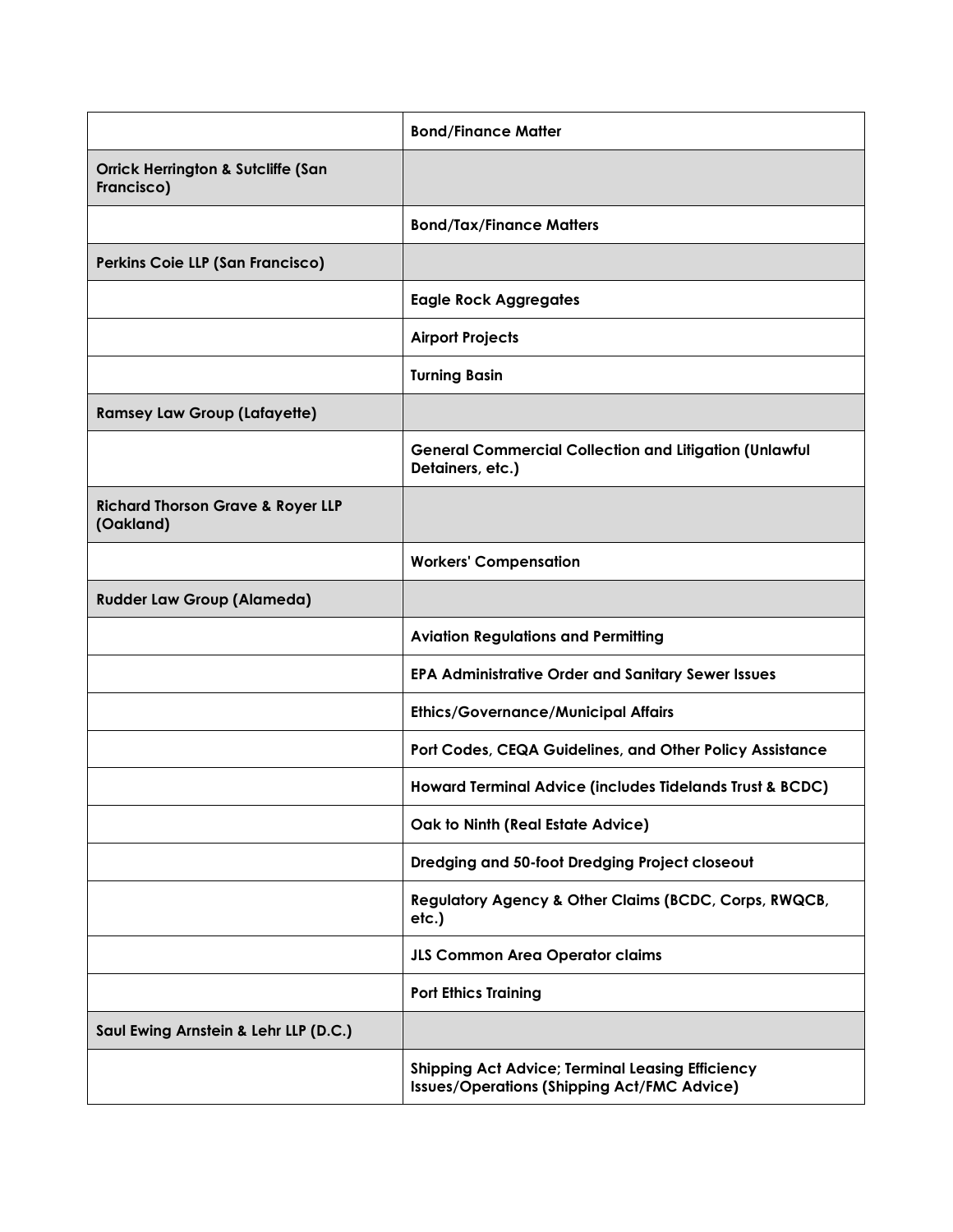|                                                             | <b>Bond/Finance Matter</b>                                                                                    |
|-------------------------------------------------------------|---------------------------------------------------------------------------------------------------------------|
| <b>Orrick Herrington &amp; Sutcliffe (San</b><br>Francisco) |                                                                                                               |
|                                                             | <b>Bond/Tax/Finance Matters</b>                                                                               |
| Perkins Coie LLP (San Francisco)                            |                                                                                                               |
|                                                             | <b>Eagle Rock Aggregates</b>                                                                                  |
|                                                             | <b>Airport Projects</b>                                                                                       |
|                                                             | <b>Turning Basin</b>                                                                                          |
| <b>Ramsey Law Group (Lafayette)</b>                         |                                                                                                               |
|                                                             | <b>General Commercial Collection and Litigation (Unlawful</b><br>Detainers, etc.)                             |
| <b>Richard Thorson Grave &amp; Royer LLP</b><br>(Oakland)   |                                                                                                               |
|                                                             | <b>Workers' Compensation</b>                                                                                  |
| <b>Rudder Law Group (Alameda)</b>                           |                                                                                                               |
|                                                             | <b>Aviation Regulations and Permitting</b>                                                                    |
|                                                             | <b>EPA Administrative Order and Sanitary Sewer Issues</b>                                                     |
|                                                             | <b>Ethics/Governance/Municipal Affairs</b>                                                                    |
|                                                             | Port Codes, CEQA Guidelines, and Other Policy Assistance                                                      |
|                                                             | Howard Terminal Advice (includes Tidelands Trust & BCDC)                                                      |
|                                                             | Oak to Ninth (Real Estate Advice)                                                                             |
|                                                             | Dredging and 50-foot Dredging Project closeout                                                                |
|                                                             | Regulatory Agency & Other Claims (BCDC, Corps, RWQCB,<br>etc.)                                                |
|                                                             | <b>JLS Common Area Operator claims</b>                                                                        |
|                                                             | <b>Port Ethics Training</b>                                                                                   |
| Saul Ewing Arnstein & Lehr LLP (D.C.)                       |                                                                                                               |
|                                                             | <b>Shipping Act Advice; Terminal Leasing Efficiency</b><br><b>Issues/Operations (Shipping Act/FMC Advice)</b> |